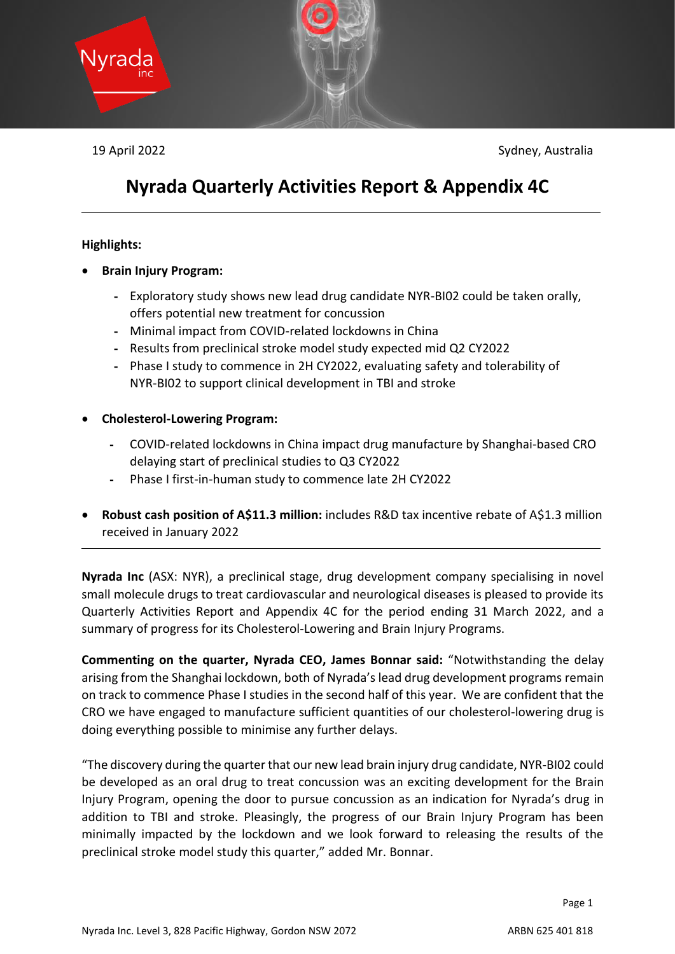

19 April 2022 Sydney, Australia

# **Nyrada Quarterly Activities Report & Appendix 4C**

# **Highlights:**

- **Brain Injury Program:**
	- Exploratory study shows new lead drug candidate NYR-BI02 could be taken orally, offers potential new treatment for concussion
	- Minimal impact from COVID-related lockdowns in China
	- Results from preclinical stroke model study expected mid Q2 CY2022
	- Phase I study to commence in 2H CY2022, evaluating safety and tolerability of NYR-BI02 to support clinical development in TBI and stroke
- **Cholesterol-Lowering Program:**
	- COVID-related lockdowns in China impact drug manufacture by Shanghai-based CRO delaying start of preclinical studies to Q3 CY2022
	- Phase I first-in-human study to commence late 2H CY2022
- **Robust cash position of A\$11.3 million:** includes R&D tax incentive rebate of A\$1.3 million received in January 2022

**Nyrada Inc** (ASX: NYR), a preclinical stage, drug development company specialising in novel small molecule drugs to treat cardiovascular and neurological diseases is pleased to provide its Quarterly Activities Report and Appendix 4C for the period ending 31 March 2022, and a summary of progress for its Cholesterol-Lowering and Brain Injury Programs.

**Commenting on the quarter, Nyrada CEO, James Bonnar said:** "Notwithstanding the delay arising from the Shanghai lockdown, both of Nyrada's lead drug development programs remain on track to commence Phase I studies in the second half of this year. We are confident that the CRO we have engaged to manufacture sufficient quantities of our cholesterol-lowering drug is doing everything possible to minimise any further delays.

"The discovery during the quarter that our new lead brain injury drug candidate, NYR-BI02 could be developed as an oral drug to treat concussion was an exciting development for the Brain Injury Program, opening the door to pursue concussion as an indication for Nyrada's drug in addition to TBI and stroke. Pleasingly, the progress of our Brain Injury Program has been minimally impacted by the lockdown and we look forward to releasing the results of the preclinical stroke model study this quarter," added Mr. Bonnar.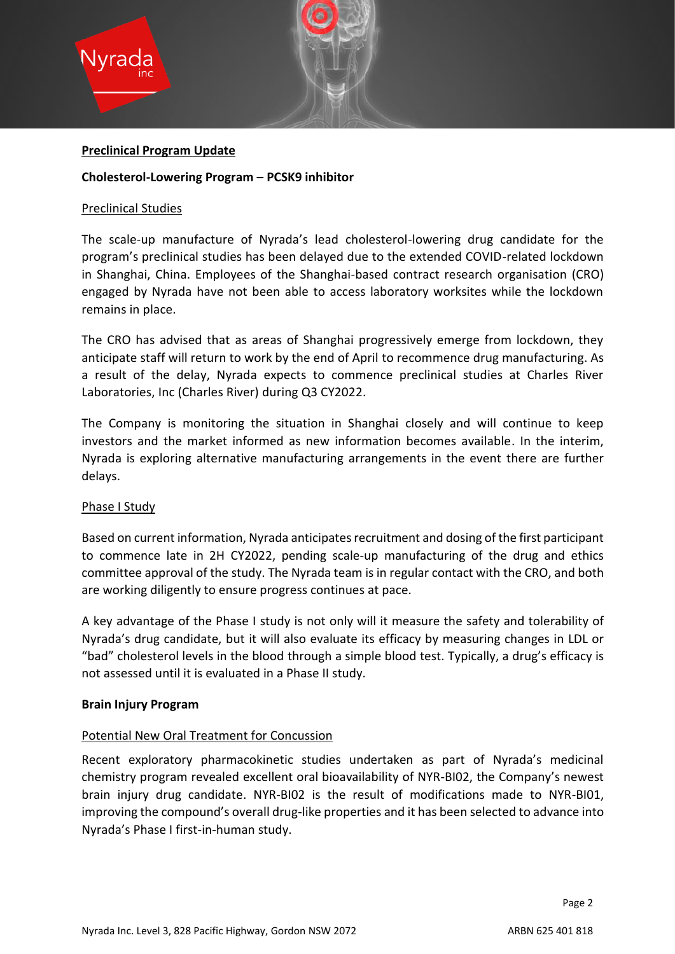

### **Preclinical Program Update**

### **Cholesterol-Lowering Program – PCSK9 inhibitor**

#### Preclinical Studies

The scale-up manufacture of Nyrada's lead cholesterol-lowering drug candidate for the program's preclinical studies has been delayed due to the extended COVID-related lockdown in Shanghai, China. Employees of the Shanghai-based contract research organisation (CRO) engaged by Nyrada have not been able to access laboratory worksites while the lockdown remains in place.

The CRO has advised that as areas of Shanghai progressively emerge from lockdown, they anticipate staff will return to work by the end of April to recommence drug manufacturing. As a result of the delay, Nyrada expects to commence preclinical studies at Charles River Laboratories, Inc (Charles River) during Q3 CY2022.

The Company is monitoring the situation in Shanghai closely and will continue to keep investors and the market informed as new information becomes available. In the interim, Nyrada is exploring alternative manufacturing arrangements in the event there are further delays.

## Phase I Study

Based on current information, Nyrada anticipates recruitment and dosing of the first participant to commence late in 2H CY2022, pending scale-up manufacturing of the drug and ethics committee approval of the study. The Nyrada team is in regular contact with the CRO, and both are working diligently to ensure progress continues at pace.

A key advantage of the Phase I study is not only will it measure the safety and tolerability of Nyrada's drug candidate, but it will also evaluate its efficacy by measuring changes in LDL or "bad" cholesterol levels in the blood through a simple blood test. Typically, a drug's efficacy is not assessed until it is evaluated in a Phase II study.

#### **Brain Injury Program**

## Potential New Oral Treatment for Concussion

Recent exploratory pharmacokinetic studies undertaken as part of Nyrada's medicinal chemistry program revealed excellent oral bioavailability of NYR-BI02, the Company's newest brain injury drug candidate. NYR-BI02 is the result of modifications made to NYR-BI01, improving the compound's overall drug-like properties and it has been selected to advance into Nyrada's Phase I first-in-human study.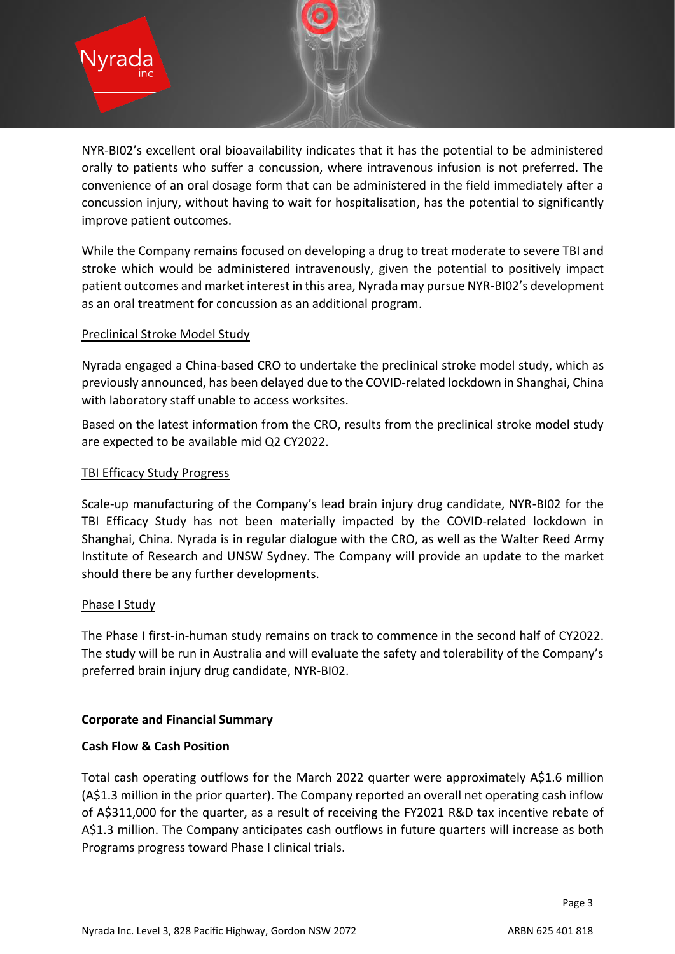

NYR-BI02's excellent oral bioavailability indicates that it has the potential to be administered orally to patients who suffer a concussion, where intravenous infusion is not preferred. The convenience of an oral dosage form that can be administered in the field immediately after a concussion injury, without having to wait for hospitalisation, has the potential to significantly improve patient outcomes.

While the Company remains focused on developing a drug to treat moderate to severe TBI and stroke which would be administered intravenously, given the potential to positively impact patient outcomes and market interest in this area, Nyrada may pursue NYR-BI02's development as an oral treatment for concussion as an additional program.

# Preclinical Stroke Model Study

Nyrada engaged a China-based CRO to undertake the preclinical stroke model study, which as previously announced, has been delayed due to the COVID-related lockdown in Shanghai, China with laboratory staff unable to access worksites.

Based on the latest information from the CRO, results from the preclinical stroke model study are expected to be available mid Q2 CY2022.

# TBI Efficacy Study Progress

Scale-up manufacturing of the Company's lead brain injury drug candidate, NYR-BI02 for the TBI Efficacy Study has not been materially impacted by the COVID-related lockdown in Shanghai, China. Nyrada is in regular dialogue with the CRO, as well as the Walter Reed Army Institute of Research and UNSW Sydney. The Company will provide an update to the market should there be any further developments.

# Phase I Study

The Phase I first-in-human study remains on track to commence in the second half of CY2022. The study will be run in Australia and will evaluate the safety and tolerability of the Company's preferred brain injury drug candidate, NYR-BI02.

# **Corporate and Financial Summary**

# **Cash Flow & Cash Position**

Total cash operating outflows for the March 2022 quarter were approximately A\$1.6 million (A\$1.3 million in the prior quarter). The Company reported an overall net operating cash inflow of A\$311,000 for the quarter, as a result of receiving the FY2021 R&D tax incentive rebate of A\$1.3 million. The Company anticipates cash outflows in future quarters will increase as both Programs progress toward Phase I clinical trials.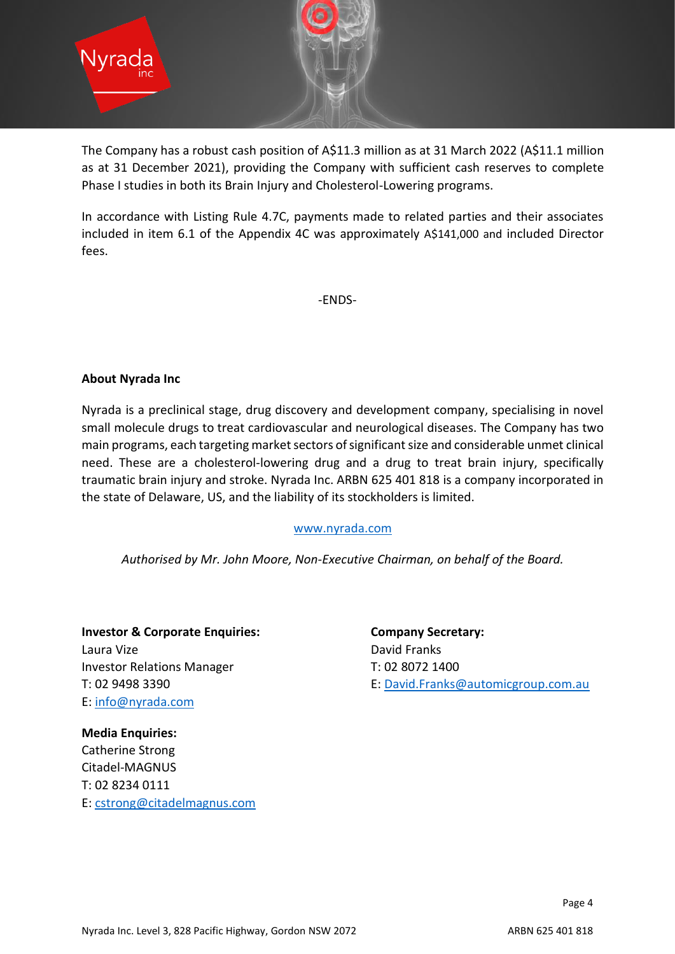

The Company has a robust cash position of A\$11.3 million as at 31 March 2022 (A\$11.1 million as at 31 December 2021), providing the Company with sufficient cash reserves to complete Phase I studies in both its Brain Injury and Cholesterol-Lowering programs.

In accordance with Listing Rule 4.7C, payments made to related parties and their associates included in item 6.1 of the Appendix 4C was approximately A\$141,000 and included Director fees.

-ENDS-

## **About Nyrada Inc**

Nyrada is a preclinical stage, drug discovery and development company, specialising in novel small molecule drugs to treat cardiovascular and neurological diseases. The Company has two main programs, each targeting market sectors of significant size and considerable unmet clinical need. These are a cholesterol-lowering drug and a drug to treat brain injury, specifically traumatic brain injury and stroke. Nyrada Inc. ARBN 625 401 818 is a company incorporated in the state of Delaware, US, and the liability of its stockholders is limited.

## [www.nyrada.com](http://www.nyrada.com/)

*Authorised by Mr. John Moore, Non-Executive Chairman, on behalf of the Board.*

**Investor & Corporate Enquiries: Company Secretary:** Laura Vize **David Franks** Investor Relations Manager T: 02 8072 1400 E: [info@nyrada.com](mailto:info@nyrada.com)

T: 02 9498 3390 E: [David.Franks@automicgroup.com.au](mailto:David.Franks@automicgroup.com.au)

**Media Enquiries:** Catherine Strong Citadel-MAGNUS T: 02 8234 0111 E: [cstrong@citadelmagnus.com](mailto:cstrong@citadelmagnus.com)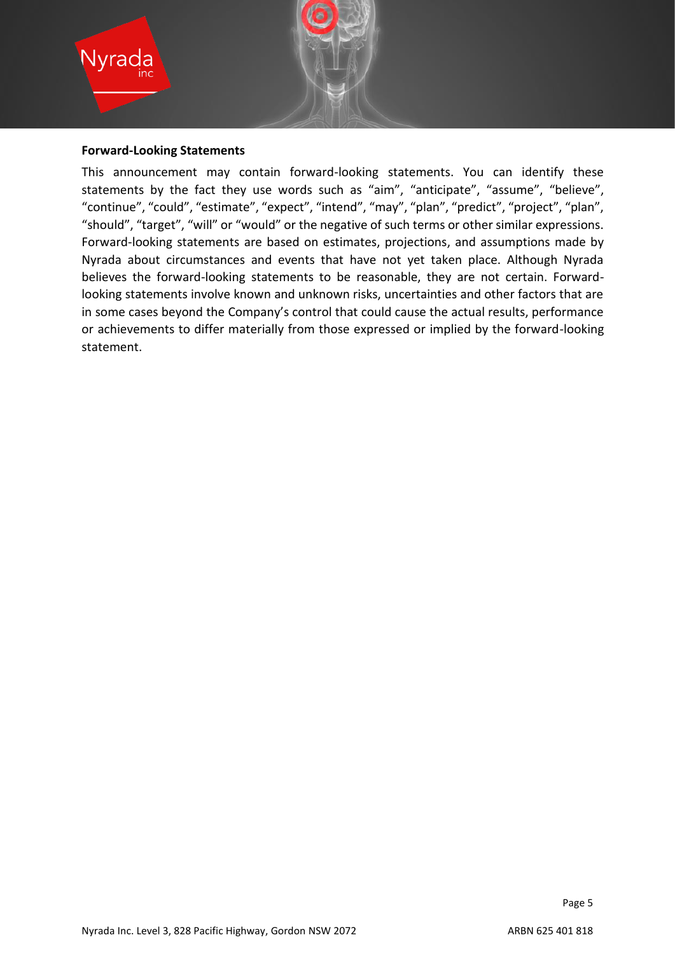

#### **Forward-Looking Statements**

This announcement may contain forward-looking statements. You can identify these statements by the fact they use words such as "aim", "anticipate", "assume", "believe", "continue", "could", "estimate", "expect", "intend", "may", "plan", "predict", "project", "plan", "should", "target", "will" or "would" or the negative of such terms or other similar expressions. Forward-looking statements are based on estimates, projections, and assumptions made by Nyrada about circumstances and events that have not yet taken place. Although Nyrada believes the forward-looking statements to be reasonable, they are not certain. Forwardlooking statements involve known and unknown risks, uncertainties and other factors that are in some cases beyond the Company's control that could cause the actual results, performance or achievements to differ materially from those expressed or implied by the forward-looking statement.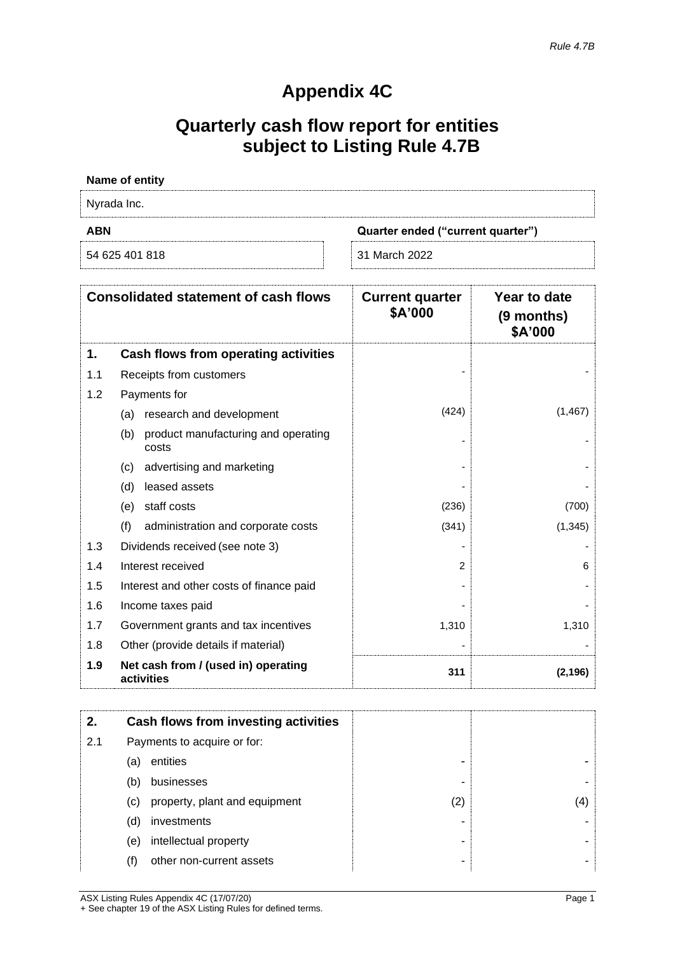# **Appendix 4C**

# **Quarterly cash flow report for entities subject to Listing Rule 4.7B**

| Name of entity                                  |  |  |
|-------------------------------------------------|--|--|
| Nyrada Inc.                                     |  |  |
| <b>ABN</b><br>Quarter ended ("current quarter") |  |  |
|                                                 |  |  |

|     | <b>Consolidated statement of cash flows</b>         | <b>Current quarter</b><br>\$A'000 | Year to date<br>$(9$ months)<br>\$A'000 |
|-----|-----------------------------------------------------|-----------------------------------|-----------------------------------------|
| 1.  | Cash flows from operating activities                |                                   |                                         |
| 1.1 | Receipts from customers                             |                                   |                                         |
| 1.2 | Payments for                                        |                                   |                                         |
|     | research and development<br>(a)                     | (424)                             | (1, 467)                                |
|     | product manufacturing and operating<br>(b)<br>costs |                                   |                                         |
|     | advertising and marketing<br>(c)                    |                                   |                                         |
|     | leased assets<br>(d)                                |                                   |                                         |
|     | staff costs<br>(e)                                  | (236)                             | (700)                                   |
|     | (f)<br>administration and corporate costs           | (341)                             | (1, 345)                                |
| 1.3 | Dividends received (see note 3)                     |                                   |                                         |
| 1.4 | Interest received                                   | 2                                 | 6                                       |
| 1.5 | Interest and other costs of finance paid            |                                   |                                         |
| 1.6 | Income taxes paid                                   |                                   |                                         |
| 1.7 | Government grants and tax incentives                | 1,310                             | 1,310                                   |
| 1.8 | Other (provide details if material)                 |                                   |                                         |
| 1.9 | Net cash from / (used in) operating<br>activities   | 311                               | (2, 196)                                |

| 2.  |                             | Cash flows from investing activities |     |     |
|-----|-----------------------------|--------------------------------------|-----|-----|
| 2.1 | Payments to acquire or for: |                                      |     |     |
|     | (a)                         | entities                             |     |     |
|     | (b)                         | businesses                           |     |     |
|     | (C)                         | property, plant and equipment        | (2) | (4) |
|     | (d)                         | investments                          |     |     |
|     | (e)                         | intellectual property                |     |     |
|     | (f)                         | other non-current assets             |     |     |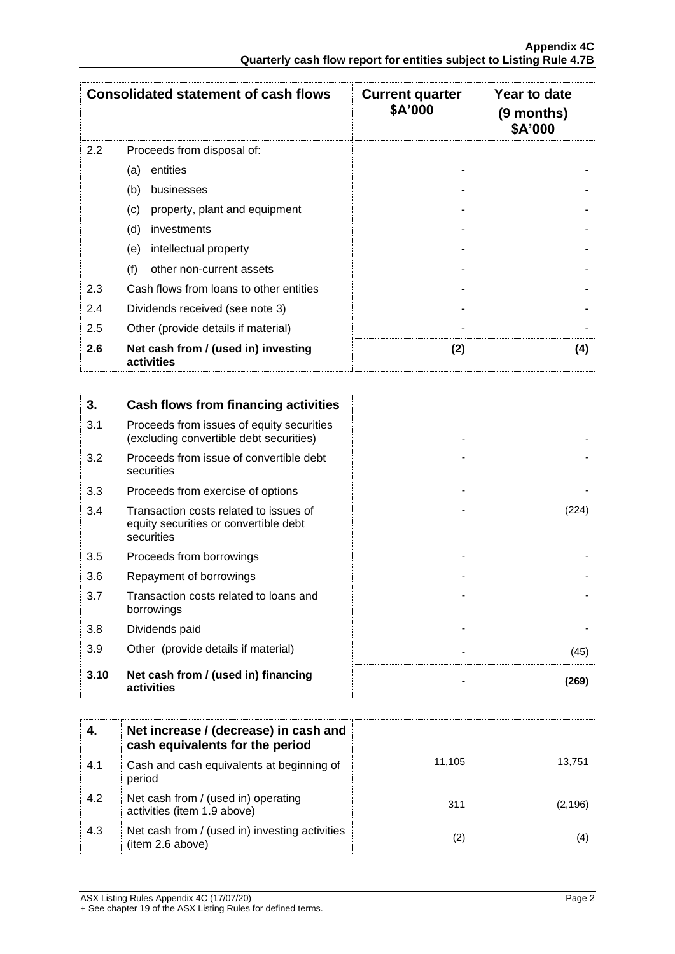| <b>Consolidated statement of cash flows</b> |                                                   | <b>Current quarter</b><br>\$A'000 | Year to date<br>$(9$ months)<br>\$A'000 |
|---------------------------------------------|---------------------------------------------------|-----------------------------------|-----------------------------------------|
| 2.2                                         | Proceeds from disposal of:                        |                                   |                                         |
|                                             | entities<br>(a)                                   |                                   |                                         |
|                                             | (b)<br>businesses                                 |                                   |                                         |
|                                             | (c)<br>property, plant and equipment              |                                   |                                         |
|                                             | (d)<br>investments                                |                                   |                                         |
|                                             | intellectual property<br>(e)                      |                                   |                                         |
|                                             | (f)<br>other non-current assets                   |                                   |                                         |
| 2.3                                         | Cash flows from loans to other entities           |                                   |                                         |
| 2.4                                         | Dividends received (see note 3)                   |                                   |                                         |
| 2.5                                         | Other (provide details if material)               |                                   |                                         |
| 2.6                                         | Net cash from / (used in) investing<br>activities | (2)                               | (4)                                     |

| 3.   | Cash flows from financing activities                                                          |       |
|------|-----------------------------------------------------------------------------------------------|-------|
| 3.1  | Proceeds from issues of equity securities<br>(excluding convertible debt securities)          |       |
| 3.2  | Proceeds from issue of convertible debt<br>securities                                         |       |
| 3.3  | Proceeds from exercise of options                                                             |       |
| 3.4  | Transaction costs related to issues of<br>equity securities or convertible debt<br>securities | (224) |
| 3.5  | Proceeds from borrowings                                                                      |       |
| 3.6  | Repayment of borrowings                                                                       |       |
| 3.7  | Transaction costs related to loans and<br>borrowings                                          |       |
| 3.8  | Dividends paid                                                                                |       |
| 3.9  | Other (provide details if material)                                                           | (45)  |
| 3.10 | Net cash from / (used in) financing<br>activities                                             | (269) |

|     | Net increase / (decrease) in cash and<br>cash equivalents for the period |        |          |
|-----|--------------------------------------------------------------------------|--------|----------|
| 4.1 | Cash and cash equivalents at beginning of<br>period                      | 11.105 | 13,751   |
| 4.2 | Net cash from / (used in) operating<br>activities (item 1.9 above)       | 311    | (2, 196) |
| 4.3 | Net cash from / (used in) investing activities<br>(item 2.6 above)       | (2)    | (4)      |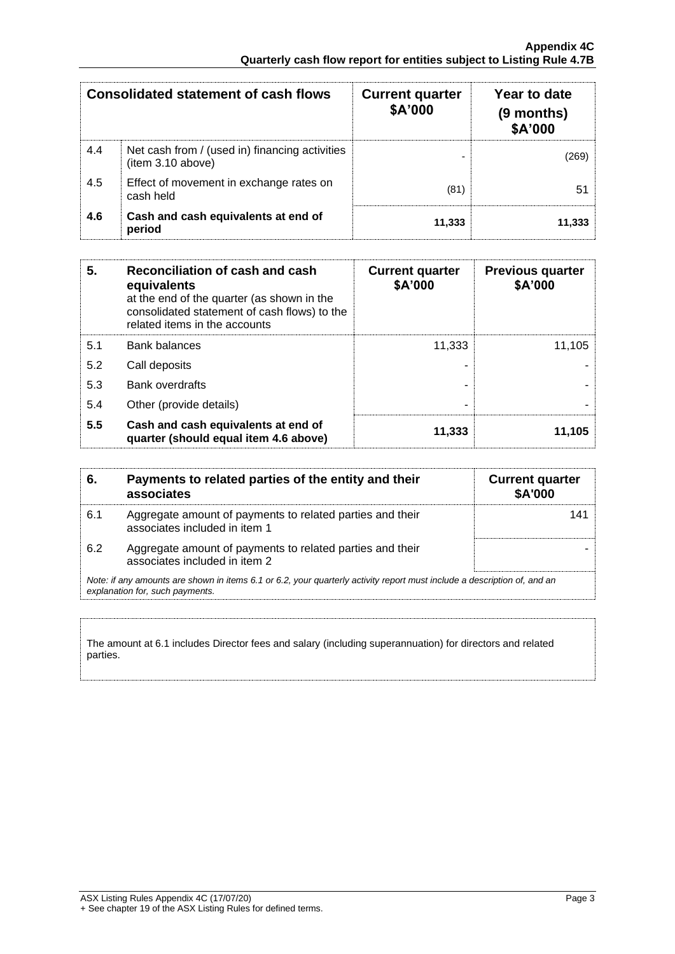| <b>Consolidated statement of cash flows</b> |                                                                     | <b>Current quarter</b><br>\$A'000 | Year to date<br>(9 months)<br>\$A'000 |
|---------------------------------------------|---------------------------------------------------------------------|-----------------------------------|---------------------------------------|
| 4.4                                         | Net cash from / (used in) financing activities<br>(item 3.10 above) |                                   | (269)                                 |
| 4.5                                         | Effect of movement in exchange rates on<br>cash held                | (81)                              | 51.                                   |
| 4.6                                         | Cash and cash equivalents at end of<br>period                       | 11,333                            | 11.333                                |

| 5.  | Reconciliation of cash and cash<br>equivalents<br>at the end of the quarter (as shown in the<br>consolidated statement of cash flows) to the<br>related items in the accounts | <b>Current quarter</b><br>\$A'000 | <b>Previous quarter</b><br>\$A'000 |
|-----|-------------------------------------------------------------------------------------------------------------------------------------------------------------------------------|-----------------------------------|------------------------------------|
| 5.1 | <b>Bank balances</b>                                                                                                                                                          | 11,333                            | 11.105                             |
| 5.2 | Call deposits                                                                                                                                                                 |                                   |                                    |
| 5.3 | Bank overdrafts                                                                                                                                                               |                                   |                                    |
| 5.4 | Other (provide details)                                                                                                                                                       | ۰                                 |                                    |
| 5.5 | Cash and cash equivalents at end of<br>quarter (should equal item 4.6 above)                                                                                                  | 11,333                            | 11,105                             |

| 6.  | Payments to related parties of the entity and their<br>associates                                                                                           | <b>Current quarter</b><br>\$A'000 |
|-----|-------------------------------------------------------------------------------------------------------------------------------------------------------------|-----------------------------------|
| 6.1 | Aggregate amount of payments to related parties and their<br>associates included in item 1                                                                  |                                   |
| 6.2 | Aggregate amount of payments to related parties and their<br>associates included in item 2                                                                  |                                   |
|     | Note: if any amounts are shown in items 6.1 or 6.2, your quarterly activity report must include a description of, and an<br>explanation for, such payments. |                                   |

The amount at 6.1 includes Director fees and salary (including superannuation) for directors and related parties.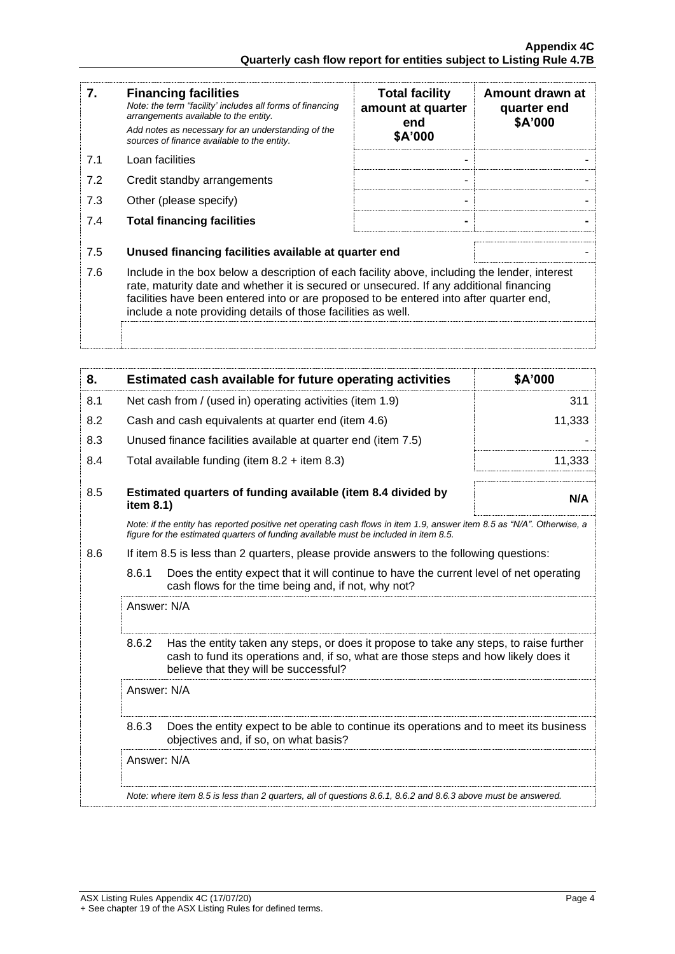| 7.  | <b>Financing facilities</b><br>Note: the term "facility' includes all forms of financing<br>arrangements available to the entity.<br>Add notes as necessary for an understanding of the<br>sources of finance available to the entity.                                                                                                               | <b>Total facility</b><br>amount at quarter<br>end<br>\$A'000 | Amount drawn at<br>quarter end<br>\$A'000 |
|-----|------------------------------------------------------------------------------------------------------------------------------------------------------------------------------------------------------------------------------------------------------------------------------------------------------------------------------------------------------|--------------------------------------------------------------|-------------------------------------------|
| 7.1 | Loan facilities                                                                                                                                                                                                                                                                                                                                      |                                                              |                                           |
| 7.2 | Credit standby arrangements                                                                                                                                                                                                                                                                                                                          | ۰                                                            |                                           |
| 7.3 | Other (please specify)                                                                                                                                                                                                                                                                                                                               | ۰                                                            |                                           |
| 7.4 | <b>Total financing facilities</b>                                                                                                                                                                                                                                                                                                                    |                                                              |                                           |
|     |                                                                                                                                                                                                                                                                                                                                                      |                                                              |                                           |
| 7.5 | Unused financing facilities available at quarter end                                                                                                                                                                                                                                                                                                 |                                                              |                                           |
| 7.6 | Include in the box below a description of each facility above, including the lender, interest<br>rate, maturity date and whether it is secured or unsecured. If any additional financing<br>facilities have been entered into or are proposed to be entered into after quarter end,<br>include a note providing details of those facilities as well. |                                                              |                                           |
|     |                                                                                                                                                                                                                                                                                                                                                      |                                                              |                                           |

| 8.  |             | Estimated cash available for future operating activities                                                                                                                                                               | \$A'000 |
|-----|-------------|------------------------------------------------------------------------------------------------------------------------------------------------------------------------------------------------------------------------|---------|
| 8.1 |             | Net cash from / (used in) operating activities (item 1.9)                                                                                                                                                              | 311     |
| 8.2 |             | Cash and cash equivalents at quarter end (item 4.6)                                                                                                                                                                    | 11,333  |
| 8.3 |             | Unused finance facilities available at quarter end (item 7.5)                                                                                                                                                          |         |
| 8.4 |             | Total available funding (item $8.2 +$ item $8.3$ )                                                                                                                                                                     | 11,333  |
| 8.5 | item 8.1)   | Estimated quarters of funding available (item 8.4 divided by                                                                                                                                                           | N/A     |
|     |             | Note: if the entity has reported positive net operating cash flows in item 1.9, answer item 8.5 as "N/A". Otherwise, a<br>figure for the estimated quarters of funding available must be included in item 8.5.         |         |
| 8.6 |             | If item 8.5 is less than 2 quarters, please provide answers to the following questions:                                                                                                                                |         |
|     | 8.6.1       | Does the entity expect that it will continue to have the current level of net operating<br>cash flows for the time being and, if not, why not?                                                                         |         |
|     | Answer: N/A |                                                                                                                                                                                                                        |         |
|     | 8.6.2       | Has the entity taken any steps, or does it propose to take any steps, to raise further<br>cash to fund its operations and, if so, what are those steps and how likely does it<br>believe that they will be successful? |         |
|     | Answer: N/A |                                                                                                                                                                                                                        |         |
|     | 8.6.3       | Does the entity expect to be able to continue its operations and to meet its business<br>objectives and, if so, on what basis?                                                                                         |         |
|     | Answer: N/A |                                                                                                                                                                                                                        |         |
|     |             | Note: where item 8.5 is less than 2 quarters, all of questions 8.6.1, 8.6.2 and 8.6.3 above must be answered.                                                                                                          |         |
|     |             |                                                                                                                                                                                                                        |         |